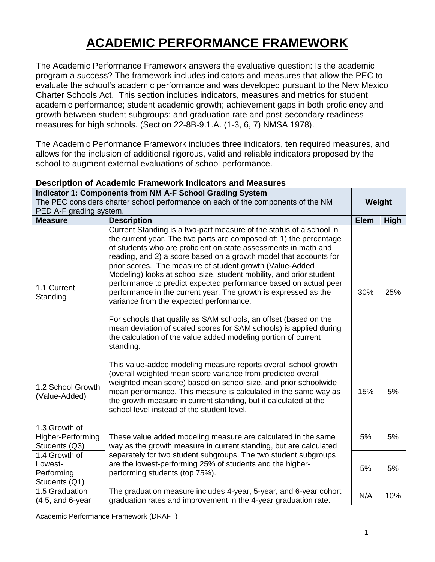## **ACADEMIC PERFORMANCE FRAMEWORK**

The Academic Performance Framework answers the evaluative question: Is the academic program a success? The framework includes indicators and measures that allow the PEC to evaluate the school's academic performance and was developed pursuant to the New Mexico Charter Schools Act. This section includes indicators, measures and metrics for student academic performance; student academic growth; achievement gaps in both proficiency and growth between student subgroups; and graduation rate and post-secondary readiness measures for high schools. (Section 22-8B-9.1.A. (1-3, 6, 7) NMSA 1978).

The Academic Performance Framework includes three indicators, ten required measures, and allows for the inclusion of additional rigorous, valid and reliable indicators proposed by the school to augment external evaluations of school performance.

|                                                                                  | perum of 7 (oddomno filamon of Kindin<br><b>Indicator 1: Components from NM A-F School Grading System</b>                                                                                                                                                                                                                                                                                                                                                                                                                                                                                                                                                                                                                                                                                                                       |             |             |
|----------------------------------------------------------------------------------|---------------------------------------------------------------------------------------------------------------------------------------------------------------------------------------------------------------------------------------------------------------------------------------------------------------------------------------------------------------------------------------------------------------------------------------------------------------------------------------------------------------------------------------------------------------------------------------------------------------------------------------------------------------------------------------------------------------------------------------------------------------------------------------------------------------------------------|-------------|-------------|
| The PEC considers charter school performance on each of the components of the NM |                                                                                                                                                                                                                                                                                                                                                                                                                                                                                                                                                                                                                                                                                                                                                                                                                                 |             |             |
| PED A-F grading system.                                                          |                                                                                                                                                                                                                                                                                                                                                                                                                                                                                                                                                                                                                                                                                                                                                                                                                                 |             |             |
| <b>Measure</b>                                                                   | <b>Description</b>                                                                                                                                                                                                                                                                                                                                                                                                                                                                                                                                                                                                                                                                                                                                                                                                              | <b>Elem</b> | <b>High</b> |
| 1.1 Current<br>Standing                                                          | Current Standing is a two-part measure of the status of a school in<br>the current year. The two parts are composed of: 1) the percentage<br>of students who are proficient on state assessments in math and<br>reading, and 2) a score based on a growth model that accounts for<br>prior scores. The measure of student growth (Value-Added<br>Modeling) looks at school size, student mobility, and prior student<br>performance to predict expected performance based on actual peer<br>performance in the current year. The growth is expressed as the<br>variance from the expected performance.<br>For schools that qualify as SAM schools, an offset (based on the<br>mean deviation of scaled scores for SAM schools) is applied during<br>the calculation of the value added modeling portion of current<br>standing. | 30%         | 25%         |
| 1.2 School Growth<br>(Value-Added)                                               | This value-added modeling measure reports overall school growth<br>(overall weighted mean score variance from predicted overall<br>weighted mean score) based on school size, and prior schoolwide<br>mean performance. This measure is calculated in the same way as<br>the growth measure in current standing, but it calculated at the<br>school level instead of the student level.                                                                                                                                                                                                                                                                                                                                                                                                                                         | 15%         | 5%          |
| 1.3 Growth of<br>Higher-Performing<br>Students (Q3)                              | These value added modeling measure are calculated in the same<br>way as the growth measure in current standing, but are calculated                                                                                                                                                                                                                                                                                                                                                                                                                                                                                                                                                                                                                                                                                              | 5%          | 5%          |
| 1.4 Growth of<br>Lowest-<br>Performing<br>Students (Q1)                          | separately for two student subgroups. The two student subgroups<br>are the lowest-performing 25% of students and the higher-<br>performing students (top 75%).                                                                                                                                                                                                                                                                                                                                                                                                                                                                                                                                                                                                                                                                  | 5%          | 5%          |
| 1.5 Graduation<br>$(4,5,$ and 6-year                                             | The graduation measure includes 4-year, 5-year, and 6-year cohort<br>graduation rates and improvement in the 4-year graduation rate.                                                                                                                                                                                                                                                                                                                                                                                                                                                                                                                                                                                                                                                                                            | N/A         | 10%         |

## **Description of Academic Framework Indicators and Measures**

Academic Performance Framework (DRAFT)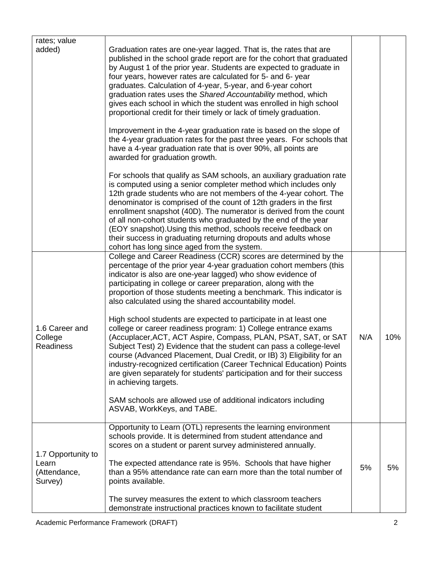| rates; value<br>added)                                 | Graduation rates are one-year lagged. That is, the rates that are                                                                                                                                                                                                                                                                                                                                                                                                                                                                                                                                                                                                                       |     |     |
|--------------------------------------------------------|-----------------------------------------------------------------------------------------------------------------------------------------------------------------------------------------------------------------------------------------------------------------------------------------------------------------------------------------------------------------------------------------------------------------------------------------------------------------------------------------------------------------------------------------------------------------------------------------------------------------------------------------------------------------------------------------|-----|-----|
|                                                        | published in the school grade report are for the cohort that graduated<br>by August 1 of the prior year. Students are expected to graduate in<br>four years, however rates are calculated for 5- and 6-year<br>graduates. Calculation of 4-year, 5-year, and 6-year cohort<br>graduation rates uses the Shared Accountability method, which<br>gives each school in which the student was enrolled in high school<br>proportional credit for their timely or lack of timely graduation.                                                                                                                                                                                                 |     |     |
|                                                        | Improvement in the 4-year graduation rate is based on the slope of<br>the 4-year graduation rates for the past three years. For schools that<br>have a 4-year graduation rate that is over 90%, all points are<br>awarded for graduation growth.                                                                                                                                                                                                                                                                                                                                                                                                                                        |     |     |
|                                                        | For schools that qualify as SAM schools, an auxiliary graduation rate<br>is computed using a senior completer method which includes only<br>12th grade students who are not members of the 4-year cohort. The<br>denominator is comprised of the count of 12th graders in the first<br>enrollment snapshot (40D). The numerator is derived from the count<br>of all non-cohort students who graduated by the end of the year<br>(EOY snapshot). Using this method, schools receive feedback on<br>their success in graduating returning dropouts and adults whose<br>cohort has long since aged from the system.                                                                        |     |     |
| 1.6 Career and<br>College<br><b>Readiness</b>          | College and Career Readiness (CCR) scores are determined by the<br>percentage of the prior year 4-year graduation cohort members (this<br>indicator is also are one-year lagged) who show evidence of<br>participating in college or career preparation, along with the<br>proportion of those students meeting a benchmark. This indicator is<br>also calculated using the shared accountability model.<br>High school students are expected to participate in at least one<br>college or career readiness program: 1) College entrance exams<br>(Accuplacer, ACT, ACT Aspire, Compass, PLAN, PSAT, SAT, or SAT<br>Subject Test) 2) Evidence that the student can pass a college-level | N/A | 10% |
|                                                        | course (Advanced Placement, Dual Credit, or IB) 3) Eligibility for an<br>industry-recognized certification (Career Technical Education) Points<br>are given separately for students' participation and for their success<br>in achieving targets.<br>SAM schools are allowed use of additional indicators including<br>ASVAB, WorkKeys, and TABE.                                                                                                                                                                                                                                                                                                                                       |     |     |
| 1.7 Opportunity to<br>Learn<br>(Attendance,<br>Survey) | Opportunity to Learn (OTL) represents the learning environment<br>schools provide. It is determined from student attendance and<br>scores on a student or parent survey administered annually.                                                                                                                                                                                                                                                                                                                                                                                                                                                                                          |     |     |
|                                                        | The expected attendance rate is 95%. Schools that have higher<br>than a 95% attendance rate can earn more than the total number of<br>points available.                                                                                                                                                                                                                                                                                                                                                                                                                                                                                                                                 | 5%  | 5%  |
|                                                        | The survey measures the extent to which classroom teachers<br>demonstrate instructional practices known to facilitate student                                                                                                                                                                                                                                                                                                                                                                                                                                                                                                                                                           |     |     |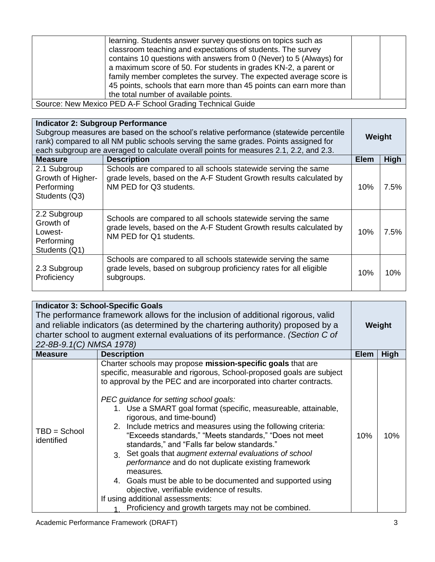| learning. Students answer survey questions on topics such as<br>classroom teaching and expectations of students. The survey<br>contains 10 questions with answers from 0 (Never) to 5 (Always) for<br>a maximum score of 50. For students in grades KN-2, a parent or<br>family member completes the survey. The expected average score is<br>45 points, schools that earn more than 45 points can earn more than<br>the total number of available points. |
|------------------------------------------------------------------------------------------------------------------------------------------------------------------------------------------------------------------------------------------------------------------------------------------------------------------------------------------------------------------------------------------------------------------------------------------------------------|
| Source: New Mexico PED A-F School Grading Technical Guide                                                                                                                                                                                                                                                                                                                                                                                                  |

| <b>Indicator 2: Subgroup Performance</b><br>Subgroup measures are based on the school's relative performance (statewide percentile<br>rank) compared to all NM public schools serving the same grades. Points assigned for<br>each subgroup are averaged to calculate overall points for measures 2.1, 2.2, and 2.3. |                                                                                                                                                                  |             | Weight  |  |
|----------------------------------------------------------------------------------------------------------------------------------------------------------------------------------------------------------------------------------------------------------------------------------------------------------------------|------------------------------------------------------------------------------------------------------------------------------------------------------------------|-------------|---------|--|
| <b>Measure</b>                                                                                                                                                                                                                                                                                                       | <b>Description</b>                                                                                                                                               | <b>Elem</b> | High    |  |
| 2.1 Subgroup<br>Growth of Higher-<br>Performing<br>Students (Q3)                                                                                                                                                                                                                                                     | Schools are compared to all schools statewide serving the same<br>grade levels, based on the A-F Student Growth results calculated by<br>NM PED for Q3 students. | 10%         | $7.5\%$ |  |
| 2.2 Subgroup<br>Growth of<br>Lowest-<br>Performing<br>Students (Q1)                                                                                                                                                                                                                                                  | Schools are compared to all schools statewide serving the same<br>grade levels, based on the A-F Student Growth results calculated by<br>NM PED for Q1 students. | 10%         | 7.5%    |  |
| 2.3 Subgroup<br>Proficiency                                                                                                                                                                                                                                                                                          | Schools are compared to all schools statewide serving the same<br>grade levels, based on subgroup proficiency rates for all eligible<br>subgroups.               | 10%         | 10%     |  |

| <b>Indicator 3: School-Specific Goals</b><br>The performance framework allows for the inclusion of additional rigorous, valid<br>and reliable indicators (as determined by the chartering authority) proposed by a<br>charter school to augment external evaluations of its performance. (Section C of<br>22-8B-9.1(C) NMSA 1978) |                                                                                                                                                                                                                                                                                                                                                                                                                                                                                                                                                                                                                                                                                                                                                                                                                                                                       |             | Weight      |  |
|-----------------------------------------------------------------------------------------------------------------------------------------------------------------------------------------------------------------------------------------------------------------------------------------------------------------------------------|-----------------------------------------------------------------------------------------------------------------------------------------------------------------------------------------------------------------------------------------------------------------------------------------------------------------------------------------------------------------------------------------------------------------------------------------------------------------------------------------------------------------------------------------------------------------------------------------------------------------------------------------------------------------------------------------------------------------------------------------------------------------------------------------------------------------------------------------------------------------------|-------------|-------------|--|
| <b>Measure</b>                                                                                                                                                                                                                                                                                                                    | <b>Description</b>                                                                                                                                                                                                                                                                                                                                                                                                                                                                                                                                                                                                                                                                                                                                                                                                                                                    | <b>Elem</b> | <b>High</b> |  |
| $TBD = School$<br>identified                                                                                                                                                                                                                                                                                                      | Charter schools may propose mission-specific goals that are<br>specific, measurable and rigorous, School-proposed goals are subject<br>to approval by the PEC and are incorporated into charter contracts.<br>PEC guidance for setting school goals:<br>1. Use a SMART goal format (specific, measureable, attainable,<br>rigorous, and time-bound)<br>2. Include metrics and measures using the following criteria:<br>"Exceeds standards," "Meets standards," "Does not meet<br>standards," and "Falls far below standards."<br>3. Set goals that augment external evaluations of school<br>performance and do not duplicate existing framework<br>measures.<br>4. Goals must be able to be documented and supported using<br>objective, verifiable evidence of results.<br>If using additional assessments:<br>Proficiency and growth targets may not be combined. | 10%         | 10%         |  |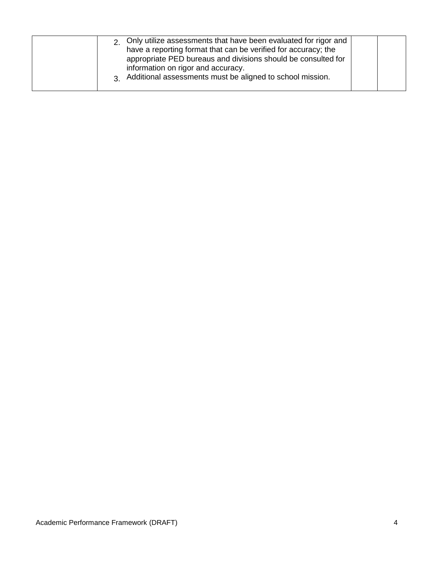| 2 Only utilize assessments that have been evaluated for rigor and<br>have a reporting format that can be verified for accuracy; the<br>appropriate PED bureaus and divisions should be consulted for<br>information on rigor and accuracy.<br>3 Additional assessments must be aligned to school mission. |  |  |
|-----------------------------------------------------------------------------------------------------------------------------------------------------------------------------------------------------------------------------------------------------------------------------------------------------------|--|--|
|-----------------------------------------------------------------------------------------------------------------------------------------------------------------------------------------------------------------------------------------------------------------------------------------------------------|--|--|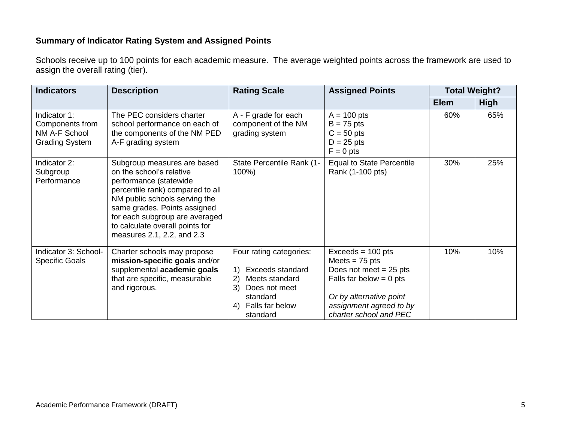## **Summary of Indicator Rating System and Assigned Points**

Schools receive up to 100 points for each academic measure. The average weighted points across the framework are used to assign the overall rating (tier).

| <b>Indicators</b>                                                         | <b>Description</b>                                                                                                                                                                                                                                                                        | <b>Rating Scale</b>                                                                                                                                | <b>Assigned Points</b>                                                                                                                                                           | <b>Total Weight?</b> |             |
|---------------------------------------------------------------------------|-------------------------------------------------------------------------------------------------------------------------------------------------------------------------------------------------------------------------------------------------------------------------------------------|----------------------------------------------------------------------------------------------------------------------------------------------------|----------------------------------------------------------------------------------------------------------------------------------------------------------------------------------|----------------------|-------------|
|                                                                           |                                                                                                                                                                                                                                                                                           |                                                                                                                                                    |                                                                                                                                                                                  | <b>Elem</b>          | <b>High</b> |
| Indicator 1:<br>Components from<br>NM A-F School<br><b>Grading System</b> | The PEC considers charter<br>school performance on each of<br>the components of the NM PED<br>A-F grading system                                                                                                                                                                          | A - F grade for each<br>component of the NM<br>grading system                                                                                      | $A = 100$ pts<br>$B = 75$ pts<br>$C = 50$ pts<br>$D = 25$ pts<br>$F = 0$ pts                                                                                                     | 60%                  | 65%         |
| Indicator 2:<br>Subgroup<br>Performance                                   | Subgroup measures are based<br>on the school's relative<br>performance (statewide<br>percentile rank) compared to all<br>NM public schools serving the<br>same grades. Points assigned<br>for each subgroup are averaged<br>to calculate overall points for<br>measures 2.1, 2.2, and 2.3 | State Percentile Rank (1-<br>100%)                                                                                                                 | <b>Equal to State Percentile</b><br>Rank (1-100 pts)                                                                                                                             | 30%                  | 25%         |
| Indicator 3: School-<br><b>Specific Goals</b>                             | Charter schools may propose<br>mission-specific goals and/or<br>supplemental academic goals<br>that are specific, measurable<br>and rigorous.                                                                                                                                             | Four rating categories:<br><b>Exceeds standard</b><br>2)<br>Meets standard<br>3)<br>Does not meet<br>standard<br>Falls far below<br>4)<br>standard | $Exceeds = 100 pts$<br>Meets $= 75$ pts<br>Does not meet $= 25$ pts<br>Falls far below $= 0$ pts<br>Or by alternative point<br>assignment agreed to by<br>charter school and PEC | 10%                  | 10%         |